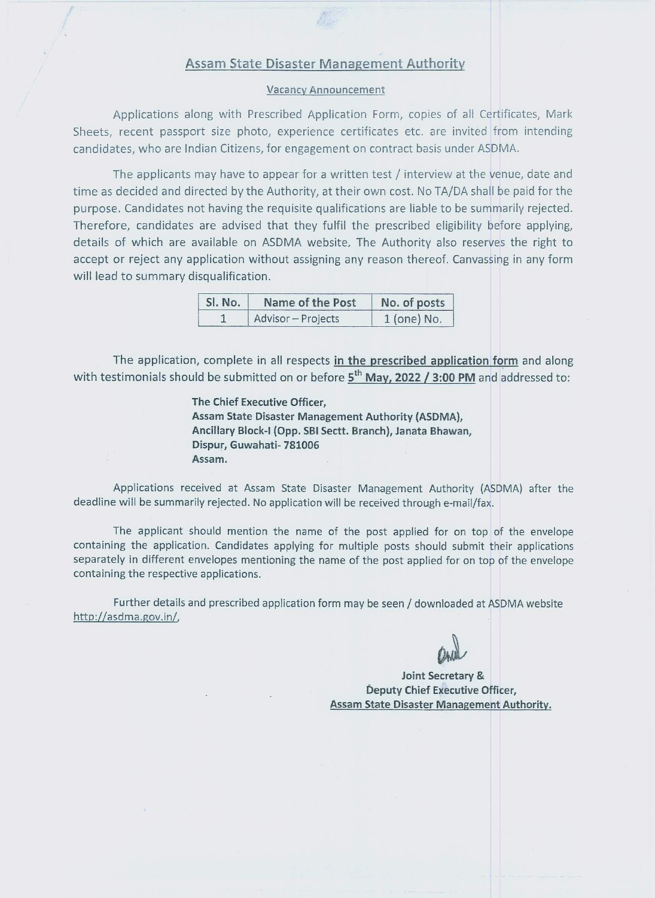# **Assam State Disaster Management Authority**

#### **Vacancy Announcement**

Applications along with Prescribed Application Form, copies of all Certificates, Mark Sheets, recent passport size photo, experience certificates etc. are invited from intending candidates, who are Indian Citizens, for engagement on contract basis under ASDMA.

The applicants may have to appear for a written test / interview at the venue, date and time as decided and directed by the Authority, at their own cost. No TA/DA shall be paid for the purpose. Candidates not having the requisite qualifications are liable to be summarily rejected. Therefore, candidates are advised that they fulfil the prescribed eligibility before applying, details of which are available on ASDMA website. The Authority also reserves the right to accept or reject any application without assigning any reason thereof. Canvassing in any form will lead to summary disqualification.

| Sl. No. | Name of the Post   | No. of posts  |
|---------|--------------------|---------------|
|         | Advisor - Projects | $1$ (one) No. |

The application, complete in all respects in the prescribed application form and along with testimonials should be submitted on or before  $5^{th}$  May, 2022 / 3:00 PM and addressed to:

> The Chief Executive Officer. Assam State Disaster Management Authority (ASDMA), Ancillary Block-I (Opp. SBI Sectt. Branch), Janata Bhawan, Dispur, Guwahati- 781006 Assam.

Applications received at Assam State Disaster Management Authority (ASDMA) after the deadline will be summarily rejected. No application will be received through e-mail/fax.

The applicant should mention the name of the post applied for on top of the envelope containing the application. Candidates applying for multiple posts should submit their applications separately in different envelopes mentioning the name of the post applied for on top of the envelope containing the respective applications.

Further details and prescribed application form may be seen / downloaded at ASDMA website http://asdma.gov.in/,

Joint Secretary & Deputy Chief Executive Officer, Assam State Disaster Management Authority.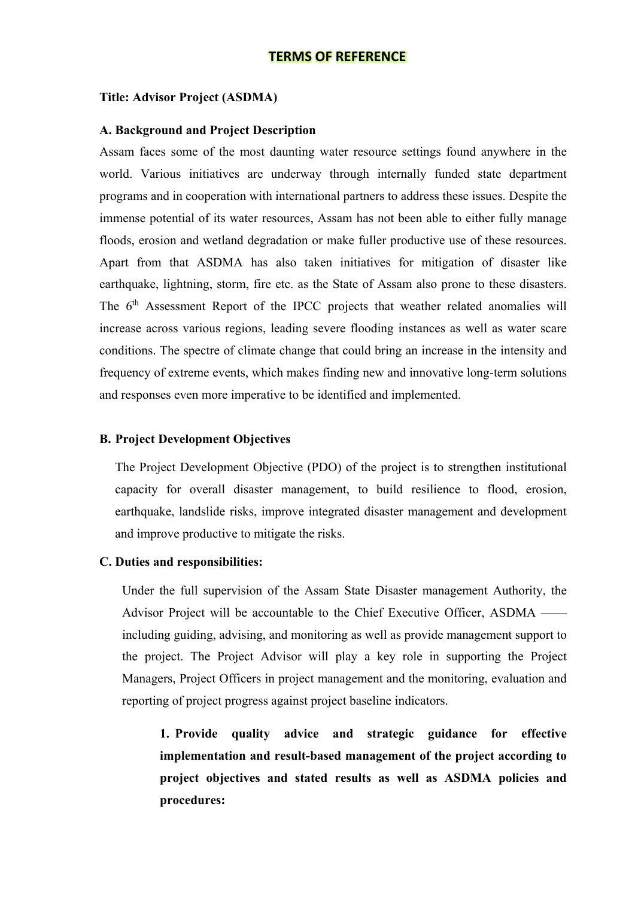# **TERMS OF REFERENCE**

#### **Title: Advisor Project (ASDMA)**

#### **A. Background and Project Description**

Assam faces some of the most daunting water resource settings found anywhere in the world. Various initiatives are underway through internally funded state department programs and in cooperation with international partners to address these issues. Despite the immense potential of its water resources, Assam has not been able to either fully manage floods, erosion and wetland degradation or make fuller productive use of these resources. Apart from that ASDMA has also taken initiatives for mitigation of disaster like earthquake, lightning, storm, fire etc. as the State of Assam also prone to these disasters. The 6<sup>th</sup> Assessment Report of the IPCC projects that weather related anomalies will increase across various regions, leading severe flooding instances as well as water scare conditions. The spectre of climate change that could bring an increase in the intensity and frequency of extreme events, which makes finding new and innovative long-term solutions and responses even more imperative to be identified and implemented.

# **B. Project Development Objectives**

The Project Development Objective (PDO) of the project is to strengthen institutional capacity for overall disaster management, to build resilience to flood, erosion, earthquake, landslide risks, improve integrated disaster management and development and improve productive to mitigate the risks.

#### **C. Duties and responsibilities:**

Under the full supervision of the Assam State Disaster management Authority, the Advisor Project will be accountable to the Chief Executive Officer, ASDMA — including guiding, advising, and monitoring as well as provide management support to the project. The Project Advisor will play a key role in supporting the Project Managers, Project Officers in project management and the monitoring, evaluation and reporting of project progress against project baseline indicators.

**1. Provide quality advice and strategic guidance for effective implementation and result-based management of the project according to project objectives and stated results as well as ASDMA policies and procedures:**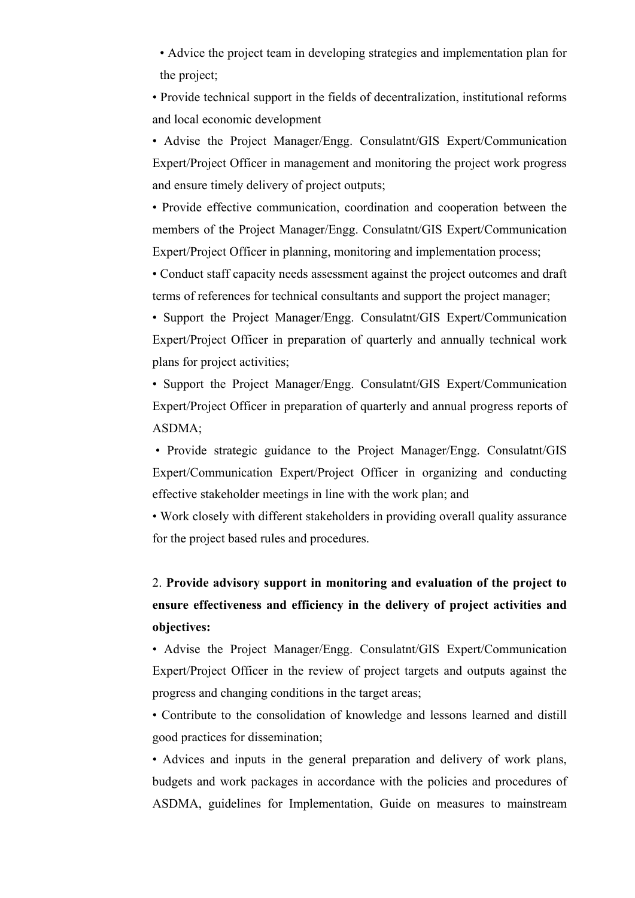• Advice the project team in developing strategies and implementation plan for the project;

• Provide technical support in the fields of decentralization, institutional reforms and local economic development

• Advise the Project Manager/Engg. Consulatnt/GIS Expert/Communication Expert/Project Officer in management and monitoring the project work progress and ensure timely delivery of project outputs;

• Provide effective communication, coordination and cooperation between the members of the Project Manager/Engg. Consulatnt/GIS Expert/Communication Expert/Project Officer in planning, monitoring and implementation process;

• Conduct staff capacity needs assessment against the project outcomes and draft terms of references for technical consultants and support the project manager;

• Support the Project Manager/Engg. Consulatnt/GIS Expert/Communication Expert/Project Officer in preparation of quarterly and annually technical work plans for project activities;

• Support the Project Manager/Engg. Consulatnt/GIS Expert/Communication Expert/Project Officer in preparation of quarterly and annual progress reports of ASDMA;

 • Provide strategic guidance to the Project Manager/Engg. Consulatnt/GIS Expert/Communication Expert/Project Officer in organizing and conducting effective stakeholder meetings in line with the work plan; and

• Work closely with different stakeholders in providing overall quality assurance for the project based rules and procedures.

# 2. **Provide advisory support in monitoring and evaluation of the project to ensure effectiveness and efficiency in the delivery of project activities and objectives:**

• Advise the Project Manager/Engg. Consulatnt/GIS Expert/Communication Expert/Project Officer in the review of project targets and outputs against the progress and changing conditions in the target areas;

• Contribute to the consolidation of knowledge and lessons learned and distill good practices for dissemination;

• Advices and inputs in the general preparation and delivery of work plans, budgets and work packages in accordance with the policies and procedures of ASDMA, guidelines for Implementation, Guide on measures to mainstream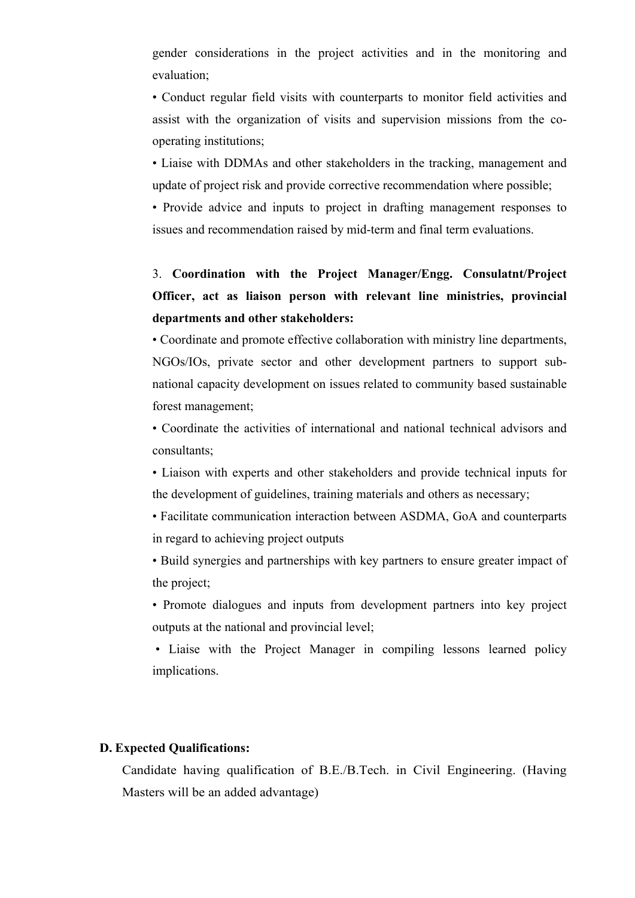gender considerations in the project activities and in the monitoring and evaluation;

• Conduct regular field visits with counterparts to monitor field activities and assist with the organization of visits and supervision missions from the cooperating institutions;

• Liaise with DDMAs and other stakeholders in the tracking, management and update of project risk and provide corrective recommendation where possible;

• Provide advice and inputs to project in drafting management responses to issues and recommendation raised by mid-term and final term evaluations.

3. **Coordination with the Project Manager/Engg. Consulatnt/Project Officer, act as liaison person with relevant line ministries, provincial departments and other stakeholders:** 

• Coordinate and promote effective collaboration with ministry line departments, NGOs/IOs, private sector and other development partners to support subnational capacity development on issues related to community based sustainable forest management;

• Coordinate the activities of international and national technical advisors and consultants;

• Liaison with experts and other stakeholders and provide technical inputs for the development of guidelines, training materials and others as necessary;

• Facilitate communication interaction between ASDMA, GoA and counterparts in regard to achieving project outputs

• Build synergies and partnerships with key partners to ensure greater impact of the project;

• Promote dialogues and inputs from development partners into key project outputs at the national and provincial level;

 • Liaise with the Project Manager in compiling lessons learned policy implications.

## **D. Expected Qualifications:**

Candidate having qualification of B.E./B.Tech. in Civil Engineering. (Having Masters will be an added advantage)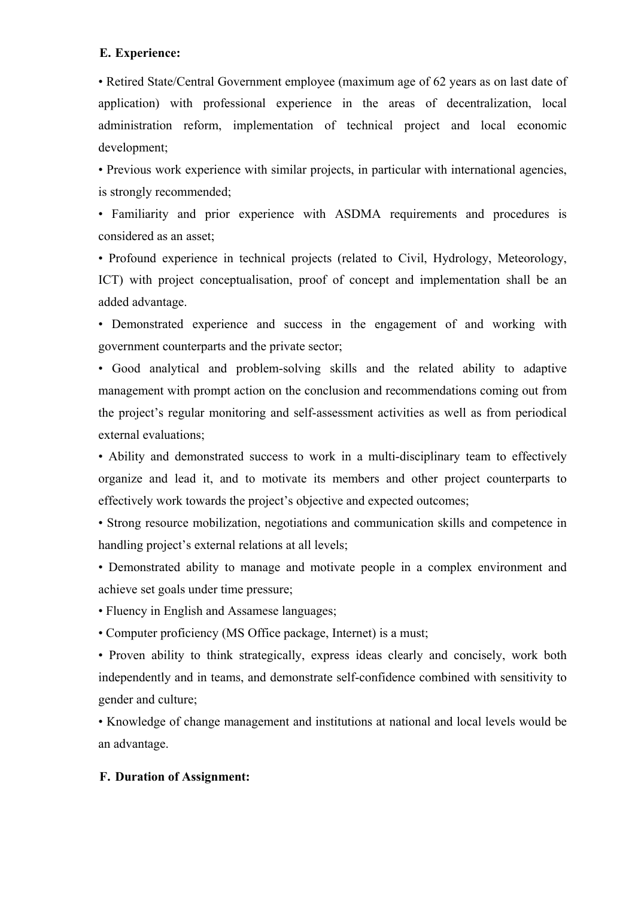## **E. Experience:**

• Retired State/Central Government employee (maximum age of 62 years as on last date of application) with professional experience in the areas of decentralization, local administration reform, implementation of technical project and local economic development;

• Previous work experience with similar projects, in particular with international agencies, is strongly recommended;

• Familiarity and prior experience with ASDMA requirements and procedures is considered as an asset;

• Profound experience in technical projects (related to Civil, Hydrology, Meteorology, ICT) with project conceptualisation, proof of concept and implementation shall be an added advantage.

• Demonstrated experience and success in the engagement of and working with government counterparts and the private sector;

• Good analytical and problem-solving skills and the related ability to adaptive management with prompt action on the conclusion and recommendations coming out from the project's regular monitoring and self-assessment activities as well as from periodical external evaluations;

• Ability and demonstrated success to work in a multi-disciplinary team to effectively organize and lead it, and to motivate its members and other project counterparts to effectively work towards the project's objective and expected outcomes;

• Strong resource mobilization, negotiations and communication skills and competence in handling project's external relations at all levels;

• Demonstrated ability to manage and motivate people in a complex environment and achieve set goals under time pressure;

• Fluency in English and Assamese languages;

• Computer proficiency (MS Office package, Internet) is a must;

• Proven ability to think strategically, express ideas clearly and concisely, work both independently and in teams, and demonstrate self-confidence combined with sensitivity to gender and culture;

• Knowledge of change management and institutions at national and local levels would be an advantage.

## **F. Duration of Assignment:**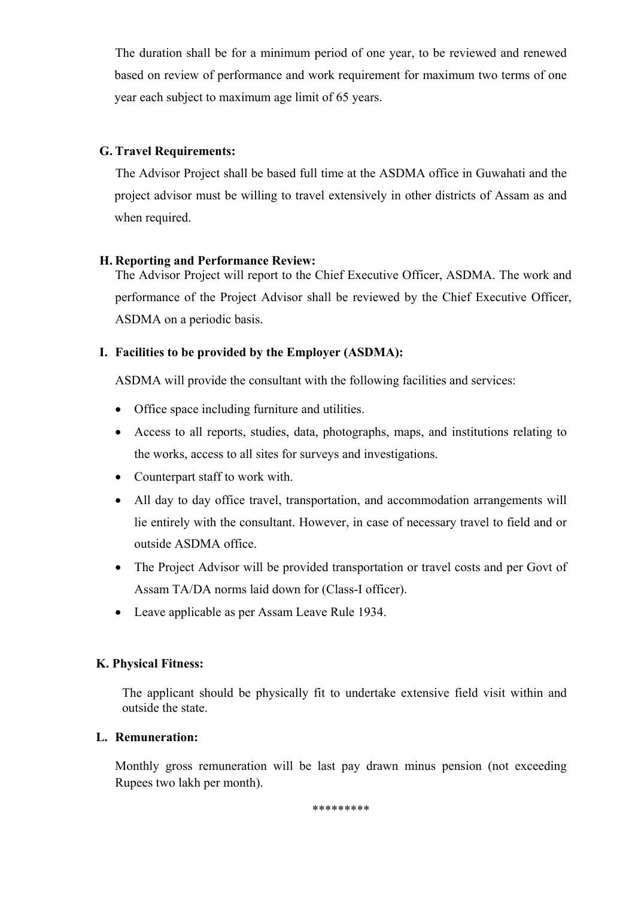The duration shall be for a minimum period of one year, to be reviewed and renewed based on review of performance and work requirement for maximum two terms of one year each subject to maximum age limit of 65 years.

# **G. Travel Requirements:**

 The Advisor Project shall be based full time at the ASDMA office in Guwahati and the project advisor must be willing to travel extensively in other districts of Assam as and when required.

# **H. Reporting and Performance Review:**

The Advisor Project will report to the Chief Executive Officer, ASDMA. The work and performance of the Project Advisor shall be reviewed by the Chief Executive Officer, ASDMA on a periodic basis.

# **I. Facilities to be provided by the Employer (ASDMA):**

ASDMA will provide the consultant with the following facilities and services:

- Office space including furniture and utilities.
- Access to all reports, studies, data, photographs, maps, and institutions relating to the works, access to all sites for surveys and investigations.
- Counterpart staff to work with.
- All day to day office travel, transportation, and accommodation arrangements will lie entirely with the consultant. However, in case of necessary travel to field and or outside ASDMA office.
- The Project Advisor will be provided transportation or travel costs and per Govt of Assam TA/DA norms laid down for (Class-I officer).
- Leave applicable as per Assam Leave Rule 1934.

## **K. Physical Fitness:**

The applicant should be physically fit to undertake extensive field visit within and outside the state.

## **L. Remuneration:**

Monthly gross remuneration will be last pay drawn minus pension (not exceeding Rupees two lakh per month).

\*\*\*\*\*\*\*\*\*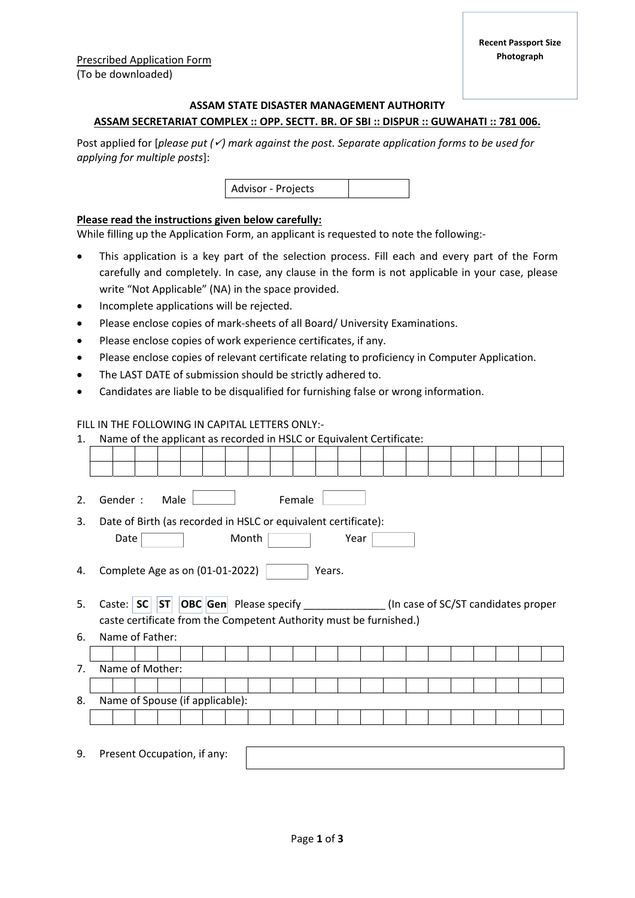# **ASSAM STATE DISASTER MANAGEMENT AUTHORITY ASSAM SECRETARIAT COMPLEX :: OPP. SECTT. BR. OF SBI :: DISPUR :: GUWAHATI :: 781 006.**

Post applied for [*please put () mark against the post. Separate application forms to be used for applying for multiple posts*]:



## **Please read the instructions given below carefully:**

While filling up the Application Form, an applicant is requested to note the following:‐

- This application is a key part of the selection process. Fill each and every part of the Form carefully and completely. In case, any clause in the form is not applicable in your case, please write "Not Applicable" (NA) in the space provided.
- Incomplete applications will be rejected.
- Please enclose copies of mark-sheets of all Board/ University Examinations.
- Please enclose copies of work experience certificates, if any.
- Please enclose copies of relevant certificate relating to proficiency in Computer Application.
- The LAST DATE of submission should be strictly adhered to.
- Candidates are liable to be disqualified for furnishing false or wrong information.

#### FILL IN THE FOLLOWING IN CAPITAL LETTERS ONLY:‐

| $\mathbf{1}$ . | Name of the applicant as recorded in HSLC or Equivalent Certificate:                                |  |  |  |  |  |  |  |  |  |  |  |  |  |  |
|----------------|-----------------------------------------------------------------------------------------------------|--|--|--|--|--|--|--|--|--|--|--|--|--|--|
|                |                                                                                                     |  |  |  |  |  |  |  |  |  |  |  |  |  |  |
|                |                                                                                                     |  |  |  |  |  |  |  |  |  |  |  |  |  |  |
|                |                                                                                                     |  |  |  |  |  |  |  |  |  |  |  |  |  |  |
| 2.             | Gender:<br>Female<br>Male                                                                           |  |  |  |  |  |  |  |  |  |  |  |  |  |  |
| 3.             | Date of Birth (as recorded in HSLC or equivalent certificate):                                      |  |  |  |  |  |  |  |  |  |  |  |  |  |  |
|                | Month<br>Date<br>Year                                                                               |  |  |  |  |  |  |  |  |  |  |  |  |  |  |
|                |                                                                                                     |  |  |  |  |  |  |  |  |  |  |  |  |  |  |
| 4.             | Complete Age as on (01-01-2022)<br>Years.                                                           |  |  |  |  |  |  |  |  |  |  |  |  |  |  |
|                |                                                                                                     |  |  |  |  |  |  |  |  |  |  |  |  |  |  |
| 5.             | <b>OBC</b> Gen Please specify _______________(In case of SC/ST candidates proper<br>SC ST<br>Caste: |  |  |  |  |  |  |  |  |  |  |  |  |  |  |
|                | caste certificate from the Competent Authority must be furnished.)                                  |  |  |  |  |  |  |  |  |  |  |  |  |  |  |
| 6.             | Name of Father:                                                                                     |  |  |  |  |  |  |  |  |  |  |  |  |  |  |
|                |                                                                                                     |  |  |  |  |  |  |  |  |  |  |  |  |  |  |
| 7 <sub>1</sub> | Name of Mother:                                                                                     |  |  |  |  |  |  |  |  |  |  |  |  |  |  |
|                |                                                                                                     |  |  |  |  |  |  |  |  |  |  |  |  |  |  |
| 8.             | Name of Spouse (if applicable):                                                                     |  |  |  |  |  |  |  |  |  |  |  |  |  |  |
|                |                                                                                                     |  |  |  |  |  |  |  |  |  |  |  |  |  |  |
|                |                                                                                                     |  |  |  |  |  |  |  |  |  |  |  |  |  |  |
| 9.             | Present Occupation, if any:                                                                         |  |  |  |  |  |  |  |  |  |  |  |  |  |  |
|                |                                                                                                     |  |  |  |  |  |  |  |  |  |  |  |  |  |  |
|                |                                                                                                     |  |  |  |  |  |  |  |  |  |  |  |  |  |  |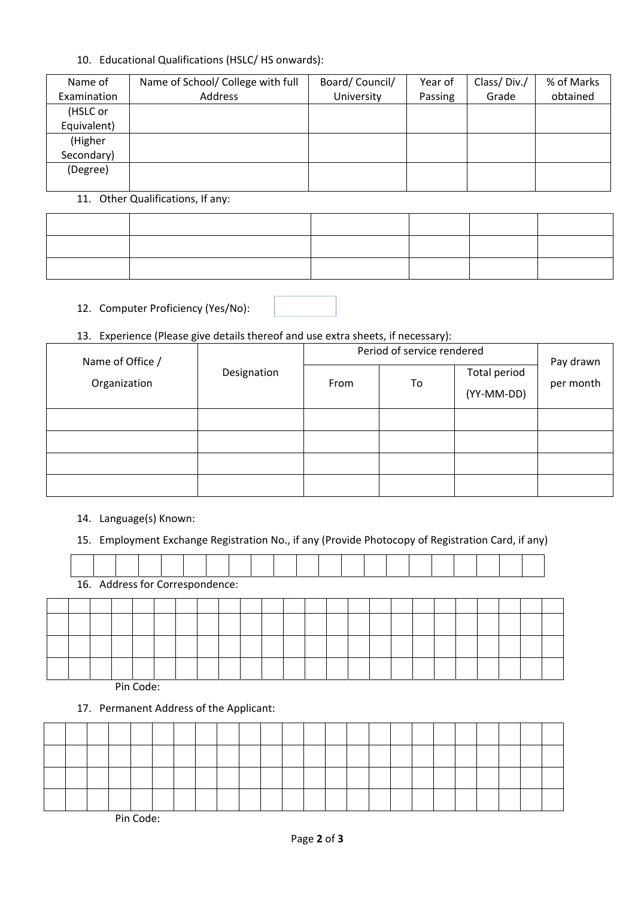## 10. Educational Qualifications (HSLC/ HS onwards):

| Name of     | Name of School/ College with full | Board/Council/ | Year of | Class/Div./ | % of Marks |
|-------------|-----------------------------------|----------------|---------|-------------|------------|
| Examination | Address                           | University     | Passing | Grade       | obtained   |
| (HSLC or    |                                   |                |         |             |            |
| Equivalent) |                                   |                |         |             |            |
| (Higher     |                                   |                |         |             |            |
| Secondary)  |                                   |                |         |             |            |
| (Degree)    |                                   |                |         |             |            |
|             |                                   |                |         |             |            |

# 11. Other Qualifications, If any:

## 12. Computer Proficiency (Yes/No):

# 13. Experience (Please give details thereof and use extra sheets, if necessary):

| Name of Office / |             | Period of service rendered | Pay drawn |                            |           |
|------------------|-------------|----------------------------|-----------|----------------------------|-----------|
| Organization     | Designation | From                       | To        | Total period<br>(YY-MM-DD) | per month |
|                  |             |                            |           |                            |           |
|                  |             |                            |           |                            |           |
|                  |             |                            |           |                            |           |
|                  |             |                            |           |                            |           |

## 14. Language(s) Known:

15. Employment Exchange Registration No., if any (Provide Photocopy of Registration Card, if any)

| 16. Address for Correspondence: |  |  |  |  |  |  |  |  |  |  |  |  |  |  |  |  |  |  |
|---------------------------------|--|--|--|--|--|--|--|--|--|--|--|--|--|--|--|--|--|--|
|                                 |  |  |  |  |  |  |  |  |  |  |  |  |  |  |  |  |  |  |
|                                 |  |  |  |  |  |  |  |  |  |  |  |  |  |  |  |  |  |  |
|                                 |  |  |  |  |  |  |  |  |  |  |  |  |  |  |  |  |  |  |
|                                 |  |  |  |  |  |  |  |  |  |  |  |  |  |  |  |  |  |  |

Pin Code:

17. Permanent Address of the Applicant:

Pin Code: